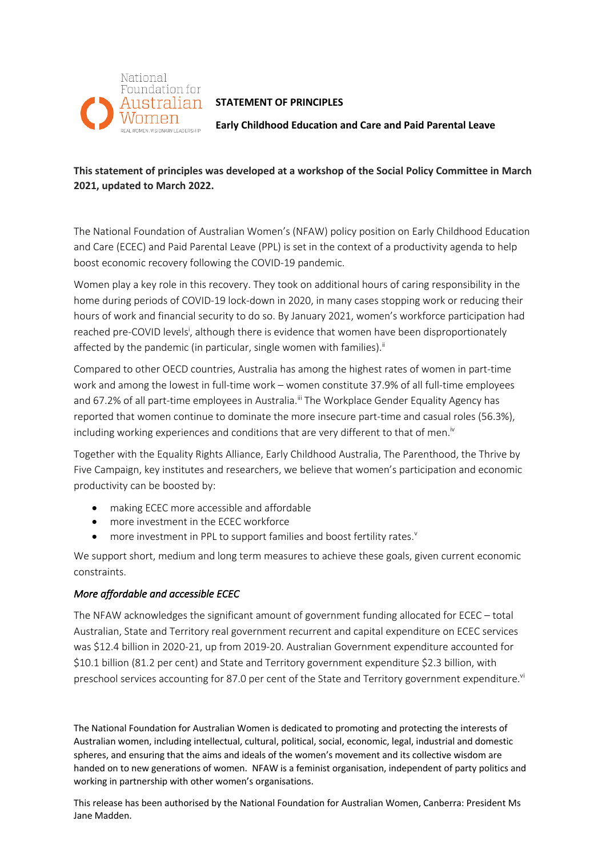

# Australian STATEMENT OF PRINCIPLES

**Early Childhood Education and Care and Paid Parental Leave** 

## **This statement of principles was developed at a workshop of the Social Policy Committee in March 2021, updated to March 2022.**

The National Foundation of Australian Women's (NFAW) policy position on Early Childhood Education and Care (ECEC) and Paid Parental Leave (PPL) is set in the context of a productivity agenda to help boost economic recovery following the COVID-19 pandemic.

Women play a key role in this recovery. They took on additional hours of caring responsibility in the home during periods of COVID-19 lock-down in 2020, in many cases stopping work or reducing their hours of work and financial security to do so. By January 2021, women's workforce participation had reached pre-COVID levels<sup>i</sup>, although there is evidence that women have been disproportionately affected by the pandemic (in particular, single women with families).<sup>ii</sup>

Compared to other OECD countries, Australia has among the highest rates of women in part-time work and among the lowest in full-time work – women constitute 37.9% of all full-time employees and 67.2% of all part-time employees in Australia.<sup>ii</sup> The Workplace Gender Equality Agency has reported that women continue to dominate the more insecure part-time and casual roles (56.3%), including working experiences and conditions that are very different to that of men.<sup>iv</sup>

Together with the Equality Rights Alliance, Early Childhood Australia, The Parenthood, the Thrive by Five Campaign, key institutes and researchers, we believe that women's participation and economic productivity can be boosted by:

- making ECEC more accessible and affordable
- more investment in the ECEC workforce
- more investment in PPL to support families and boost fertility rates.<sup>v</sup>

We support short, medium and long term measures to achieve these goals, given current economic constraints.

### *More affordable and accessible ECEC*

The NFAW acknowledges the significant amount of government funding allocated for ECEC – total Australian, State and Territory real government recurrent and capital expenditure on ECEC services was \$12.4 billion in 2020-21, up from 2019-20. Australian Government expenditure accounted for \$10.1 billion (81.2 per cent) and State and Territory government expenditure \$2.3 billion, with preschool services accounting for 87.0 per cent of the State and Territory government expenditure.<sup>v</sup>

The National Foundation for Australian Women is dedicated to promoting and protecting the interests of Australian women, including intellectual, cultural, political, social, economic, legal, industrial and domestic spheres, and ensuring that the aims and ideals of the women's movement and its collective wisdom are handed on to new generations of women. NFAW is a feminist organisation, independent of party politics and working in partnership with other women's organisations.

This release has been authorised by the National Foundation for Australian Women, Canberra: President Ms Jane Madden.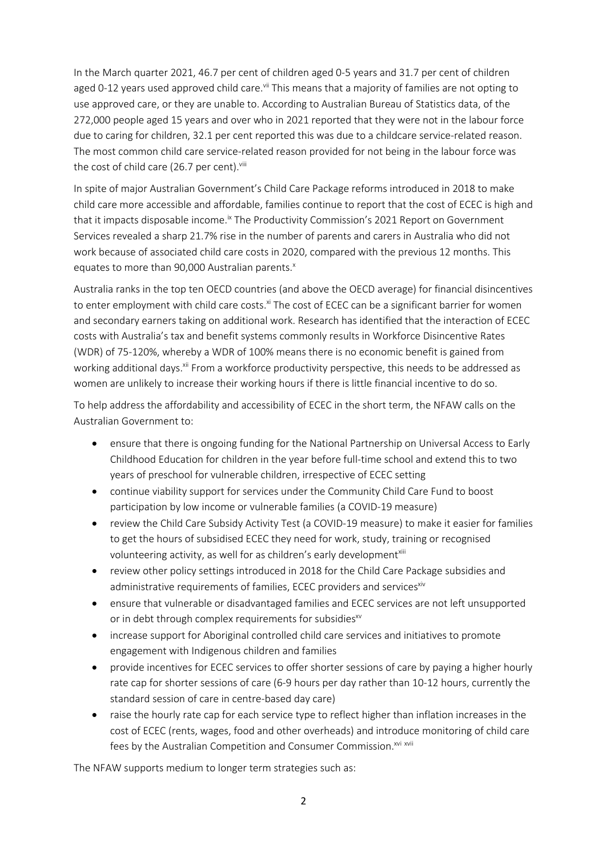In the March quarter 2021, 46.7 per cent of children aged 0-5 years and 31.7 per cent of children aged 0-12 years used approved child care.<sup>vii</sup> This means that a majority of families are not opting to use approved care, or they are unable to. According to Australian Bureau of Statistics data, of the 272,000 people aged 15 years and over who in 2021 reported that they were not in the labour force due to caring for children, 32.1 per cent reported this was due to a childcare service-related reason. The most common child care service-related reason provided for not being in the labour force was the cost of child care (26.7 per cent).<sup>viii</sup>

In spite of major Australian Government's Child Care Package reforms introduced in 2018 to make child care more accessible and affordable, families continue to report that the cost of ECEC is high and that it impacts disposable income.<sup>ix</sup> The Productivity Commission's 2021 Report on Government Services revealed a sharp 21.7% rise in the number of parents and carers in Australia who did not work because of associated child care costs in 2020, compared with the previous 12 months. This equates to more than 90,000 Australian parents.<sup>x</sup>

Australia ranks in the top ten OECD countries (and above the OECD average) for financial disincentives to enter employment with child care costs.<sup>xi</sup> The cost of ECEC can be a significant barrier for women and secondary earners taking on additional work. Research has identified that the interaction of ECEC costs with Australia's tax and benefit systems commonly results in Workforce Disincentive Rates (WDR) of 75-120%, whereby a WDR of 100% means there is no economic benefit is gained from working additional days. <sup>xii</sup> From a workforce productivity perspective, this needs to be addressed as women are unlikely to increase their working hours if there is little financial incentive to do so.

To help address the affordability and accessibility of ECEC in the short term, the NFAW calls on the Australian Government to:

- ensure that there is ongoing funding for the National Partnership on Universal Access to Early Childhood Education for children in the year before full-time school and extend this to two years of preschool for vulnerable children, irrespective of ECEC setting
- continue viability support for services under the Community Child Care Fund to boost participation by low income or vulnerable families (a COVID-19 measure)
- review the Child Care Subsidy Activity Test (a COVID-19 measure) to make it easier for families to get the hours of subsidised ECEC they need for work, study, training or recognised volunteering activity, as well for as children's early development<sup>xiii</sup>
- review other policy settings introduced in 2018 for the Child Care Package subsidies and administrative requirements of families, ECEC providers and services<sup>xiv</sup>
- ensure that vulnerable or disadvantaged families and ECEC services are not left unsupported or in debt through complex requirements for subsidies<sup>xv</sup>
- increase support for Aboriginal controlled child care services and initiatives to promote engagement with Indigenous children and families
- provide incentives for ECEC services to offer shorter sessions of care by paying a higher hourly rate cap for shorter sessions of care (6-9 hours per day rather than 10-12 hours, currently the standard session of care in centre-based day care)
- raise the hourly rate cap for each service type to reflect higher than inflation increases in the cost of ECEC (rents, wages, food and other overheads) and introduce monitoring of child care fees by the Australian Competition and Consumer Commission.<sup>xvi xvii</sup>

The NFAW supports medium to longer term strategies such as: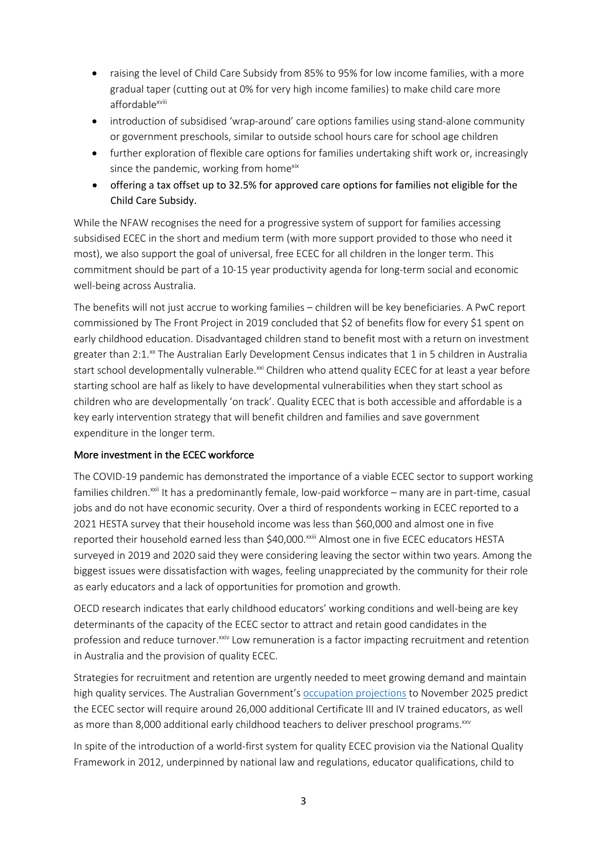- raising the level of Child Care Subsidy from 85% to 95% for low income families, with a more gradual taper (cutting out at 0% for very high income families) to make child care more affordable<sup>xviii</sup>
- introduction of subsidised 'wrap-around' care options families using stand-alone community or government preschools, similar to outside school hours care for school age children
- further exploration of flexible care options for families undertaking shift work or, increasingly since the pandemic, working from homexix
- offering a tax offset up to 32.5% for approved care options for families not eligible for the Child Care Subsidy.

While the NFAW recognises the need for a progressive system of support for families accessing subsidised ECEC in the short and medium term (with more support provided to those who need it most), we also support the goal of universal, free ECEC for all children in the longer term. This commitment should be part of a 10-15 year productivity agenda for long-term social and economic well-being across Australia.

The benefits will not just accrue to working families – children will be key beneficiaries. A PwC report commissioned by The Front Project in 2019 concluded that \$2 of benefits flow for every \$1 spent on early childhood education. Disadvantaged children stand to benefit most with a return on investment greater than 2:1.<sup>xx</sup> The Australian Early Development Census indicates that 1 in 5 children in Australia start school developmentally vulnerable.<sup>xxi</sup> Children who attend quality ECEC for at least a year before starting school are half as likely to have developmental vulnerabilities when they start school as children who are developmentally 'on track'. Quality ECEC that is both accessible and affordable is a key early intervention strategy that will benefit children and families and save government expenditure in the longer term.

### More investment in the ECEC workforce

The COVID-19 pandemic has demonstrated the importance of a viable ECEC sector to support working families children.<sup>xxii</sup> It has a predominantly female, low-paid workforce – many are in part-time, casual jobs and do not have economic security. Over a third of respondents working in ECEC reported to a 2021 HESTA survey that their household income was less than \$60,000 and almost one in five reported their household earned less than \$40,000.<sup>xxiii</sup> Almost one in five ECEC educators HESTA surveyed in 2019 and 2020 said they were considering leaving the sector within two years. Among the biggest issues were dissatisfaction with wages, feeling unappreciated by the community for their role as early educators and a lack of opportunities for promotion and growth.

OECD research indicates that early childhood educators' working conditions and well-being are key determinants of the capacity of the ECEC sector to attract and retain good candidates in the profession and reduce turnover.<sup>xxiv</sup> Low remuneration is a factor impacting recruitment and retention in Australia and the provision of quality ECEC.

Strategies for recruitment and retention are urgently needed to meet growing demand and maintain high quality services. The Australian Government's occupation projections to November 2025 predict the ECEC sector will require around 26,000 additional Certificate III and IV trained educators, as well as more than 8,000 additional early childhood teachers to deliver preschool programs.<sup>xxv</sup>

In spite of the introduction of a world-first system for quality ECEC provision via the National Quality Framework in 2012, underpinned by national law and regulations, educator qualifications, child to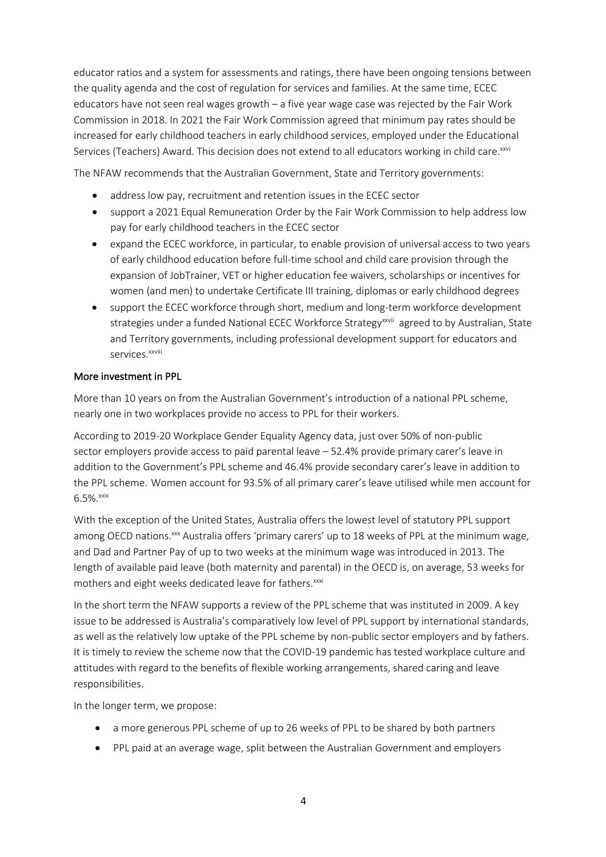educator ratios and a system for assessments and ratings, there have been ongoing tensions between the quality agenda and the cost of regulation for services and families. At the same time, ECEC educators have not seen real wages growth – a five year wage case was rejected by the Fair Work Commission in 2018. In 2021 the Fair Work Commission agreed that minimum pay rates should be increased for early childhood teachers in early childhood services, employed under the Educational Services (Teachers) Award. This decision does not extend to all educators working in child care.<sup>xxvi</sup>

The NFAW recommends that the Australian Government, State and Territory governments:

- address low pay, recruitment and retention issues in the ECEC sector
- support a 2021 Equal Remuneration Order by the Fair Work Commission to help address low pay for early childhood teachers in the ECEC sector
- expand the ECEC workforce, in particular, to enable provision of universal access to two years of early childhood education before full-time school and child care provision through the expansion of JobTrainer, VET or higher education fee waivers, scholarships or incentives for women (and men) to undertake Certificate III training, diplomas or early childhood degrees
- support the ECEC workforce through short, medium and long-term workforce development strategies under a funded National ECEC Workforce Strategy<sup>xxvii</sup> agreed to by Australian, State and Territory governments, including professional development support for educators and services<sup>xxviii</sup>

#### More investment in PPL

More than 10 years on from the Australian Government's introduction of a national PPL scheme, nearly one in two workplaces provide no access to PPL for their workers.

According to 2019-20 Workplace Gender Equality Agency data, just over 50% of non-public sector employers provide access to paid parental leave – 52.4% provide primary carer's leave in addition to the Government's PPL scheme and 46.4% provide secondary carer's leave in addition to the PPL scheme. Women account for 93.5% of all primary carer's leave utilised while men account for 6.5%.xxix

With the exception of the United States, Australia offers the lowest level of statutory PPL support among OECD nations.<sup>xxx</sup> Australia offers 'primary carers' up to 18 weeks of PPL at the minimum wage, and Dad and Partner Pay of up to two weeks at the minimum wage was introduced in 2013. The length of available paid leave (both maternity and parental) in the OECD is, on average, 53 weeks for mothers and eight weeks dedicated leave for fathers.<sup>xxxi</sup>

In the short term the NFAW supports a review of the PPL scheme that was instituted in 2009. A key issue to be addressed is Australia's comparatively low level of PPL support by international standards, as well as the relatively low uptake of the PPL scheme by non-public sector employers and by fathers. It is timely to review the scheme now that the COVID-19 pandemic has tested workplace culture and attitudes with regard to the benefits of flexible working arrangements, shared caring and leave responsibilities.

In the longer term, we propose:

- a more generous PPL scheme of up to 26 weeks of PPL to be shared by both partners
- PPL paid at an average wage, split between the Australian Government and employers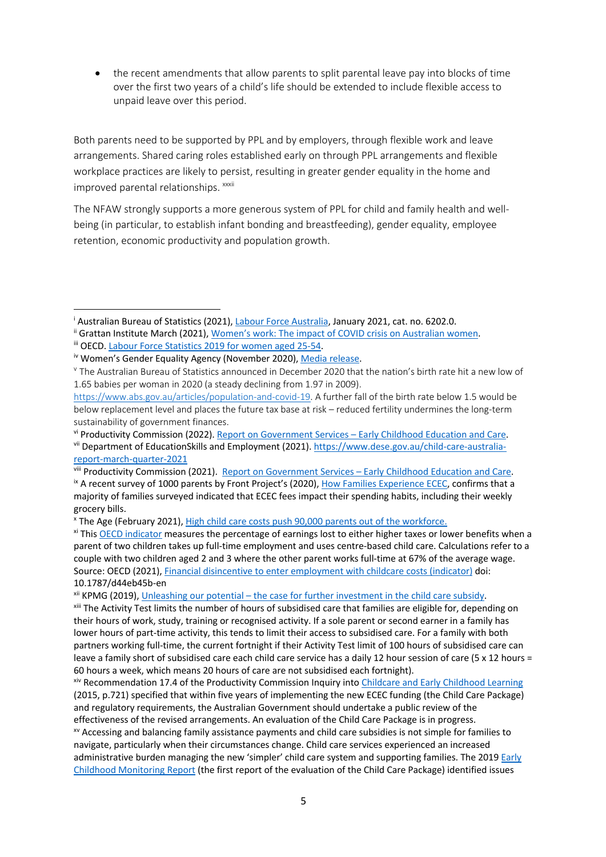• the recent amendments that allow parents to split parental leave pay into blocks of time over the first two years of a child's life should be extended to include flexible access to unpaid leave over this period.

Both parents need to be supported by PPL and by employers, through flexible work and leave arrangements. Shared caring roles established early on through PPL arrangements and flexible workplace practices are likely to persist, resulting in greater gender equality in the home and improved parental relationships. xxxii

The NFAW strongly supports a more generous system of PPL for child and family health and wellbeing (in particular, to establish infant bonding and breastfeeding), gender equality, employee retention, economic productivity and population growth.

viii Productivity Commission (2021). Report on Government Services – Early Childhood Education and Care.

<sup>x</sup> The Age (February 2021), High child care costs push 90,000 parents out of the workforce.

xii KPMG (2019), Unleashing our potential – the case for further investment in the child care subsidy.

<sup>i</sup> Australian Bureau of Statistics (2021), Labour Force Australia, January 2021, cat. no. 6202.0.

<sup>&</sup>lt;sup>ii</sup> Grattan Institute March (2021), Women's work: The impact of COVID crisis on Australian women.

iii OECD. Labour Force Statistics 2019 for women aged 25-54.

iv Women's Gender Equality Agency (November 2020), Media release.

<sup>v</sup> The Australian Bureau of Statistics announced in December 2020 that the nation's birth rate hit a new low of 1.65 babies per woman in 2020 (a steady declining from 1.97 in 2009).

https://www.abs.gov.au/articles/population-and-covid-19. A further fall of the birth rate below 1.5 would be below replacement level and places the future tax base at risk – reduced fertility undermines the long-term sustainability of government finances.

vi Productivity Commission (2022). Report on Government Services – Early Childhood Education and Care. vii Department of EducationSkills and Employment (2021). https://www.dese.gov.au/child-care-australiareport-march-quarter-2021

<sup>&</sup>lt;sup>ix</sup> A recent survey of 1000 parents by Front Project's (2020), How Families Experience ECEC, confirms that a majority of families surveyed indicated that ECEC fees impact their spending habits, including their weekly grocery bills.

xi This OECD indicator measures the percentage of earnings lost to either higher taxes or lower benefits when a parent of two children takes up full-time employment and uses centre-based child care. Calculations refer to a couple with two children aged 2 and 3 where the other parent works full-time at 67% of the average wage. Source: OECD (2021), Financial disincentive to enter employment with childcare costs (indicator) doi: 10.1787/d44eb45b-en

xiii The Activity Test limits the number of hours of subsidised care that families are eligible for, depending on their hours of work, study, training or recognised activity. If a sole parent or second earner in a family has lower hours of part-time activity, this tends to limit their access to subsidised care. For a family with both partners working full-time, the current fortnight if their Activity Test limit of 100 hours of subsidised care can leave a family short of subsidised care each child care service has a daily 12 hour session of care (5 x 12 hours = 60 hours a week, which means 20 hours of care are not subsidised each fortnight).

xiv Recommendation 17.4 of the Productivity Commission Inquiry into Childcare and Early Childhood Learning (2015, p.721) specified that within five years of implementing the new ECEC funding (the Child Care Package) and regulatory requirements, the Australian Government should undertake a public review of the effectiveness of the revised arrangements. An evaluation of the Child Care Package is in progress.

xv Accessing and balancing family assistance payments and child care subsidies is not simple for families to navigate, particularly when their circumstances change. Child care services experienced an increased administrative burden managing the new 'simpler' child care system and supporting families. The 2019 Early Childhood Monitoring Report (the first report of the evaluation of the Child Care Package) identified issues